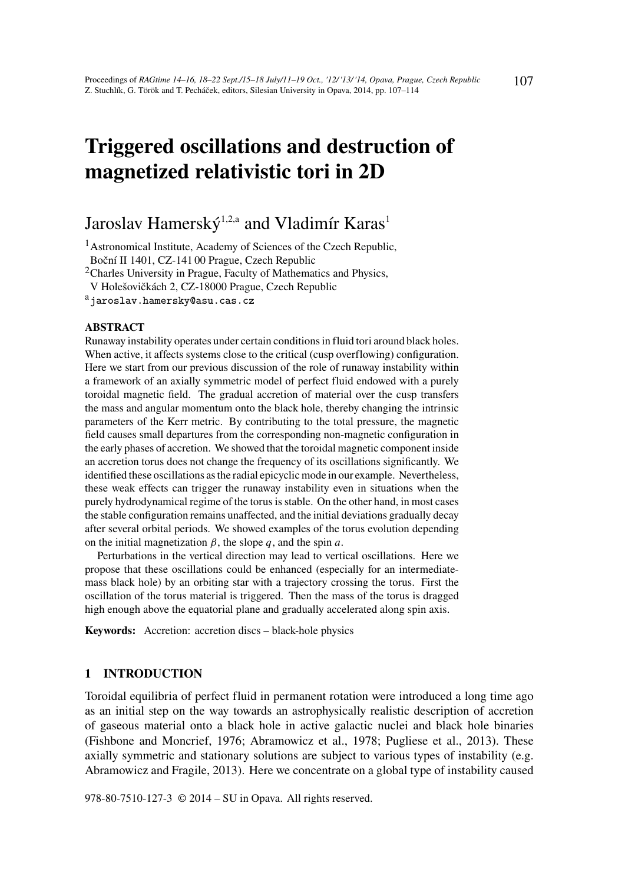# Triggered oscillations and destruction of magnetized relativistic tori in 2D

# Jaroslav Hamerský<sup>1,2,a</sup> and Vladimír Karas<sup>1</sup>

<sup>1</sup> Astronomical Institute, Academy of Sciences of the Czech Republic, Boční II 1401, CZ-141 00 Prague, Czech Republic

<sup>2</sup>Charles University in Prague, Faculty of Mathematics and Physics,

V Holešovičkách 2, CZ-18000 Prague, Czech Republic

ajaroslav.hamersky@asu.cas.cz

#### ABSTRACT

Runaway instability operates under certain conditions in fluid tori around black holes. When active, it affects systems close to the critical (cusp overflowing) configuration. Here we start from our previous discussion of the role of runaway instability within a framework of an axially symmetric model of perfect fluid endowed with a purely toroidal magnetic field. The gradual accretion of material over the cusp transfers the mass and angular momentum onto the black hole, thereby changing the intrinsic parameters of the Kerr metric. By contributing to the total pressure, the magnetic field causes small departures from the corresponding non-magnetic configuration in the early phases of accretion. We showed that the toroidal magnetic component inside an accretion torus does not change the frequency of its oscillations significantly. We identified these oscillations as the radial epicyclic mode in our example. Nevertheless, these weak effects can trigger the runaway instability even in situations when the purely hydrodynamical regime of the torus is stable. On the other hand, in most cases the stable configuration remains unaffected, and the initial deviations gradually decay after several orbital periods. We showed examples of the torus evolution depending on the initial magnetization  $\beta$ , the slope  $q$ , and the spin  $a$ .

Perturbations in the vertical direction may lead to vertical oscillations. Here we propose that these oscillations could be enhanced (especially for an intermediatemass black hole) by an orbiting star with a trajectory crossing the torus. First the oscillation of the torus material is triggered. Then the mass of the torus is dragged high enough above the equatorial plane and gradually accelerated along spin axis.

Keywords: Accretion: accretion discs – black-hole physics

#### 1 INTRODUCTION

Toroidal equilibria of perfect fluid in permanent rotation were introduced a long time ago as an initial step on the way towards an astrophysically realistic description of accretion of gaseous material onto a black hole in active galactic nuclei and black hole binaries (Fishbone and Moncrief, 1976; Abramowicz et al., 1978; Pugliese et al., 2013). These axially symmetric and stationary solutions are subject to various types of instability (e.g. Abramowicz and Fragile, 2013). Here we concentrate on a global type of instability caused

978-80-7510-127-3 © 2014 – SU in Opava. All rights reserved.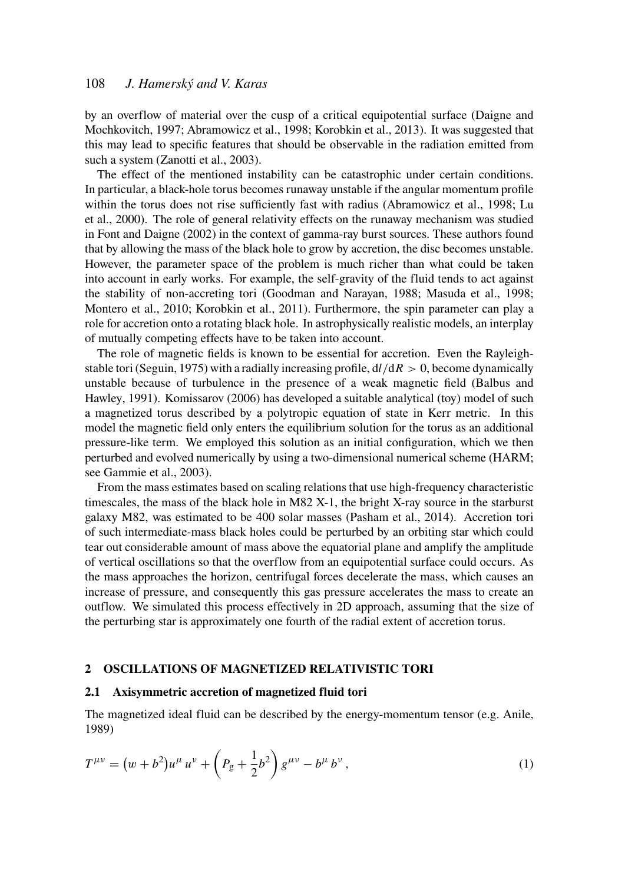# 108 *J. Hamerský and V. Karas*

by an overflow of material over the cusp of a critical equipotential surface (Daigne and Mochkovitch, 1997; Abramowicz et al., 1998; Korobkin et al., 2013). It was suggested that this may lead to specific features that should be observable in the radiation emitted from such a system (Zanotti et al., 2003).

The effect of the mentioned instability can be catastrophic under certain conditions. In particular, a black-hole torus becomes runaway unstable if the angular momentum profile within the torus does not rise sufficiently fast with radius (Abramowicz et al., 1998; Lu et al., 2000). The role of general relativity effects on the runaway mechanism was studied in Font and Daigne (2002) in the context of gamma-ray burst sources. These authors found that by allowing the mass of the black hole to grow by accretion, the disc becomes unstable. However, the parameter space of the problem is much richer than what could be taken into account in early works. For example, the self-gravity of the fluid tends to act against the stability of non-accreting tori (Goodman and Narayan, 1988; Masuda et al., 1998; Montero et al., 2010; Korobkin et al., 2011). Furthermore, the spin parameter can play a role for accretion onto a rotating black hole. In astrophysically realistic models, an interplay of mutually competing effects have to be taken into account.

The role of magnetic fields is known to be essential for accretion. Even the Rayleighstable tori (Seguin, 1975) with a radially increasing profile,  $d/dR > 0$ , become dynamically unstable because of turbulence in the presence of a weak magnetic field (Balbus and Hawley, 1991). Komissarov (2006) has developed a suitable analytical (toy) model of such a magnetized torus described by a polytropic equation of state in Kerr metric. In this model the magnetic field only enters the equilibrium solution for the torus as an additional pressure-like term. We employed this solution as an initial configuration, which we then perturbed and evolved numerically by using a two-dimensional numerical scheme (HARM; see Gammie et al., 2003).

From the mass estimates based on scaling relations that use high-frequency characteristic timescales, the mass of the black hole in M82 X-1, the bright X-ray source in the starburst galaxy M82, was estimated to be 400 solar masses (Pasham et al., 2014). Accretion tori of such intermediate-mass black holes could be perturbed by an orbiting star which could tear out considerable amount of mass above the equatorial plane and amplify the amplitude of vertical oscillations so that the overflow from an equipotential surface could occurs. As the mass approaches the horizon, centrifugal forces decelerate the mass, which causes an increase of pressure, and consequently this gas pressure accelerates the mass to create an outflow. We simulated this process effectively in 2D approach, assuming that the size of the perturbing star is approximately one fourth of the radial extent of accretion torus.

#### 2 OSCILLATIONS OF MAGNETIZED RELATIVISTIC TORI

#### 2.1 Axisymmetric accretion of magnetized fluid tori

The magnetized ideal fluid can be described by the energy-momentum tensor (e.g. Anile, 1989)

$$
T^{\mu\nu} = (w + b^2)u^{\mu} u^{\nu} + \left(P_g + \frac{1}{2}b^2\right)g^{\mu\nu} - b^{\mu} b^{\nu}, \tag{1}
$$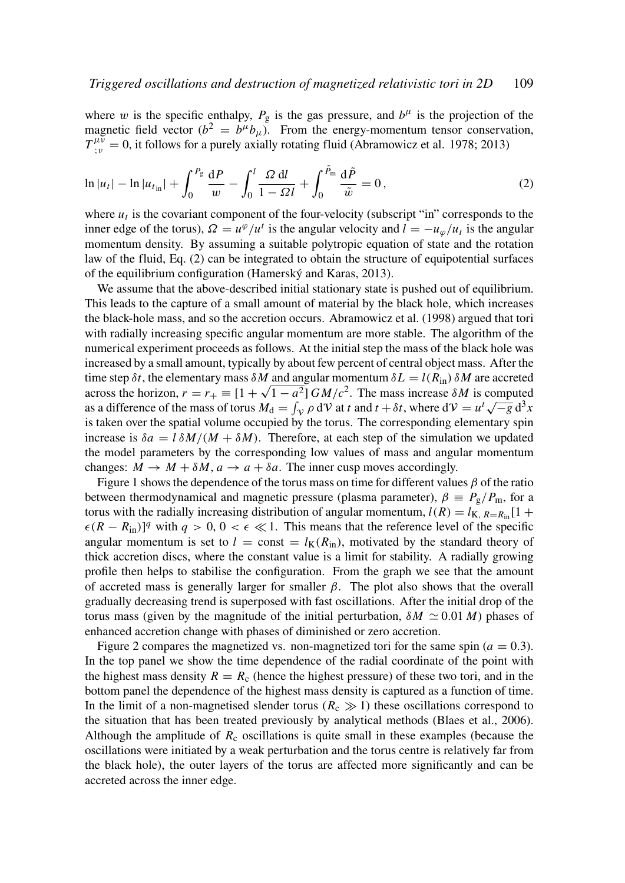where w is the specific enthalpy,  $P_g$  is the gas pressure, and  $b^{\mu}$  is the projection of the magnetic field vector  $(b^2 = b^{\mu}b_{\mu})$ . From the energy-momentum tensor conservation,  $T_{\mu\nu}^{\mu\nu} = 0$ , it follows for a purely axially rotating fluid (Abramowicz et al. 1978; 2013)

$$
\ln|u_t| - \ln|u_{t_{\text{in}}}| + \int_0^{P_g} \frac{\mathrm{d}P}{w} - \int_0^l \frac{\Omega \, \mathrm{d}l}{1 - \Omega l} + \int_0^{\tilde{P}_{\text{in}}} \frac{\mathrm{d}\tilde{P}}{\tilde{w}} = 0, \tag{2}
$$

where  $u_t$  is the covariant component of the four-velocity (subscript "in" corresponds to the inner edge of the torus),  $\Omega = u^{\varphi}/u^t$  is the angular velocity and  $l = -u_{\varphi}/u_t$  is the angular momentum density. By assuming a suitable polytropic equation of state and the rotation law of the fluid, Eq. (2) can be integrated to obtain the structure of equipotential surfaces of the equilibrium configuration (Hamerský and Karas, 2013).

We assume that the above-described initial stationary state is pushed out of equilibrium. This leads to the capture of a small amount of material by the black hole, which increases the black-hole mass, and so the accretion occurs. Abramowicz et al. (1998) argued that tori with radially increasing specific angular momentum are more stable. The algorithm of the numerical experiment proceeds as follows. At the initial step the mass of the black hole was increased by a small amount, typically by about few percent of central object mass. After the time step  $\delta t$ , the elementary mass  $\delta M$  and angular momentum  $\delta L = l(R_{\text{in}}) \delta M$  are accreted across the horizon,  $r = r_+ \equiv [1 + \sqrt{1 - a^2}] GM/c^2$ . The mass increase  $\delta M$  is computed across the norizon,  $r = r_+ = [1 + \sqrt{1 - a} - \frac{1}{2}Gm/c]$ . The mass increase *om* is computed as a difference of the mass of torus  $M_d = \int_V \rho dV$  at *t* and  $t + \delta t$ , where  $dV = u^t \sqrt{-g} d^3x$ is taken over the spatial volume occupied by the torus. The corresponding elementary spin increase is  $\delta a = l \, \delta M / (M + \delta M)$ . Therefore, at each step of the simulation we updated the model parameters by the corresponding low values of mass and angular momentum changes:  $M \to M + \delta M$ ,  $a \to a + \delta a$ . The inner cusp moves accordingly.

Figure 1 shows the dependence of the torus mass on time for different values  $\beta$  of the ratio between thermodynamical and magnetic pressure (plasma parameter),  $\beta = P_g/P_m$ , for a torus with the radially increasing distribution of angular momentum,  $l(R) = l_{K, R=R_{in}}[1 +$  $\epsilon (R - R_{\text{in}})^{q}$  with  $q > 0, 0 < \epsilon \ll 1$ . This means that the reference level of the specific angular momentum is set to  $l = \text{const} = l_{\text{K}}(R_{\text{in}})$ , motivated by the standard theory of thick accretion discs, where the constant value is a limit for stability. A radially growing profile then helps to stabilise the configuration. From the graph we see that the amount of accreted mass is generally larger for smaller  $\beta$ . The plot also shows that the overall gradually decreasing trend is superposed with fast oscillations. After the initial drop of the torus mass (given by the magnitude of the initial perturbation,  $\delta M \simeq 0.01 M$ ) phases of enhanced accretion change with phases of diminished or zero accretion.

Figure 2 compares the magnetized vs. non-magnetized tori for the same spin  $(a = 0.3)$ . In the top panel we show the time dependence of the radial coordinate of the point with the highest mass density  $R = R_c$  (hence the highest pressure) of these two tori, and in the bottom panel the dependence of the highest mass density is captured as a function of time. In the limit of a non-magnetised slender torus ( $R_c \gg 1$ ) these oscillations correspond to the situation that has been treated previously by analytical methods (Blaes et al., 2006). Although the amplitude of  $R_c$  oscillations is quite small in these examples (because the oscillations were initiated by a weak perturbation and the torus centre is relatively far from the black hole), the outer layers of the torus are affected more significantly and can be accreted across the inner edge.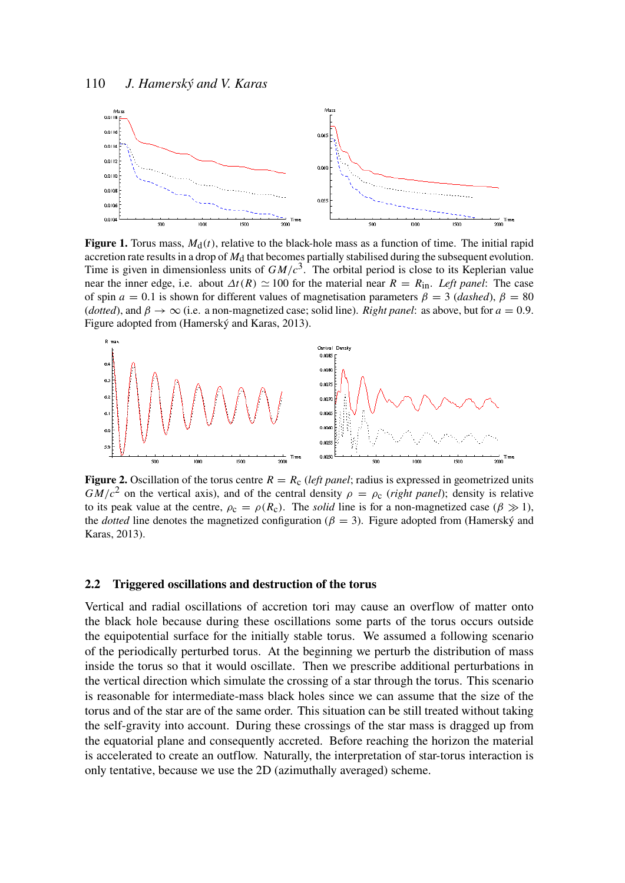

**Figure 1.** Torus mass,  $M_d(t)$ , relative to the black-hole mass as a function of time. The initial rapid accretion rate results in a drop of  $M_d$  that becomes partially stabilised during the subsequent evolution. Time is given in dimensionless units of  $GM/c<sup>3</sup>$ . The orbital period is close to its Keplerian value near the inner edge, i.e. about  $\Delta t(R) \simeq 100$  for the material near  $R = R_{\text{in}}$ . Left panel: The case of spin  $a = 0.1$  is shown for different values of magnetisation parameters  $\beta = 3$  (*dashed*),  $\beta = 80$ (*dotted*), and  $\beta \rightarrow \infty$  (i.e. a non-magnetized case; solid line). *Right panel*: as above, but for  $a = 0.9$ . Figure adopted from (Hamerský and Karas, 2013).



**Figure 2.** Oscillation of the torus centre  $R = R_c$  (*left panel*; radius is expressed in geometrized units  $GM/c^2$  on the vertical axis), and of the central density  $\rho = \rho_c$  (*right panel*); density is relative to its peak value at the centre,  $\rho_c = \rho(R_c)$ . The *solid* line is for a non-magnetized case ( $\beta \gg 1$ ), the *dotted* line denotes the magnetized configuration ( $\beta = 3$ ). Figure adopted from (Hamerský and Karas, 2013).

#### 2.2 Triggered oscillations and destruction of the torus

Vertical and radial oscillations of accretion tori may cause an overflow of matter onto the black hole because during these oscillations some parts of the torus occurs outside the equipotential surface for the initially stable torus. We assumed a following scenario of the periodically perturbed torus. At the beginning we perturb the distribution of mass inside the torus so that it would oscillate. Then we prescribe additional perturbations in the vertical direction which simulate the crossing of a star through the torus. This scenario is reasonable for intermediate-mass black holes since we can assume that the size of the torus and of the star are of the same order. This situation can be still treated without taking the self-gravity into account. During these crossings of the star mass is dragged up from the equatorial plane and consequently accreted. Before reaching the horizon the material is accelerated to create an outflow. Naturally, the interpretation of star-torus interaction is only tentative, because we use the 2D (azimuthally averaged) scheme.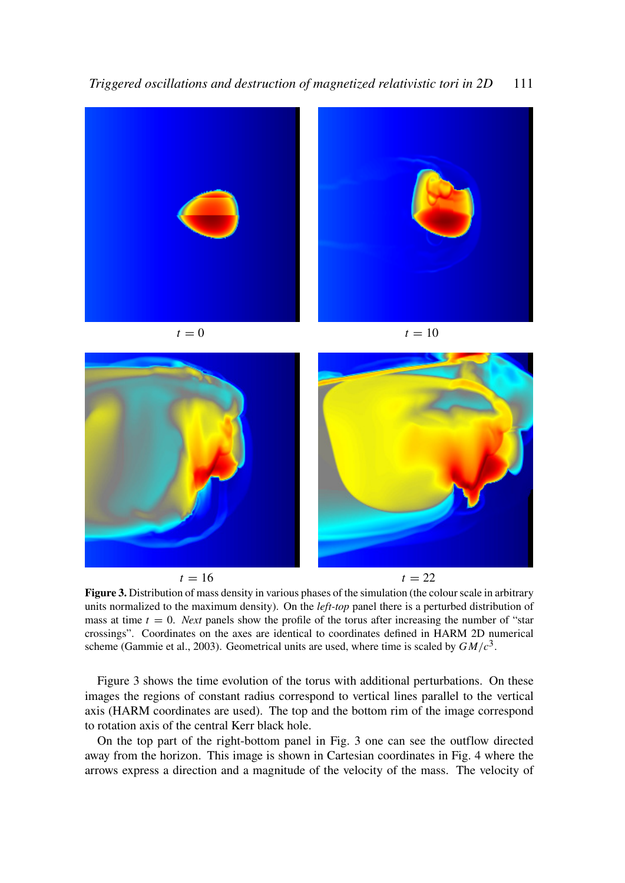



 $t = 16$   $t = 22$ Figure 3. Distribution of mass density in various phases of the simulation (the colour scale in arbitrary units normalized to the maximum density). On the *left-top* panel there is a perturbed distribution of mass at time  $t = 0$ . *Next* panels show the profile of the torus after increasing the number of "star crossings". Coordinates on the axes are identical to coordinates defined in HARM 2D numerical scheme (Gammie et al., 2003). Geometrical units are used, where time is scaled by *GM*/*c* 3 .

Figure 3 shows the time evolution of the torus with additional perturbations. On these images the regions of constant radius correspond to vertical lines parallel to the vertical axis (HARM coordinates are used). The top and the bottom rim of the image correspond to rotation axis of the central Kerr black hole.

On the top part of the right-bottom panel in Fig. 3 one can see the outflow directed away from the horizon. This image is shown in Cartesian coordinates in Fig. 4 where the arrows express a direction and a magnitude of the velocity of the mass. The velocity of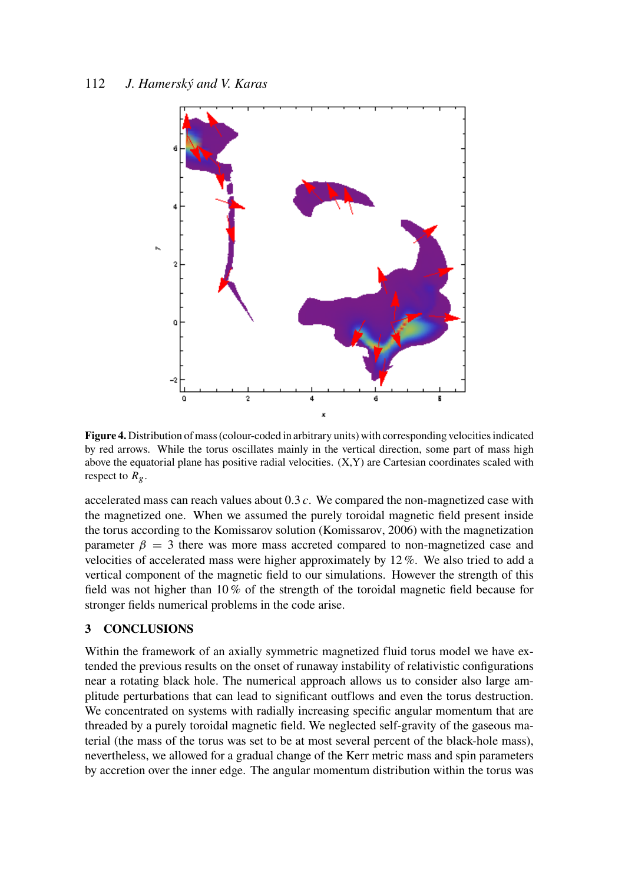

Figure 4. Distribution of mass (colour-coded in arbitrary units) with corresponding velocities indicated by red arrows. While the torus oscillates mainly in the vertical direction, some part of mass high above the equatorial plane has positive radial velocities. (X,Y) are Cartesian coordinates scaled with respect to  $R_g$ .

accelerated mass can reach values about 0.3 *c*. We compared the non-magnetized case with the magnetized one. When we assumed the purely toroidal magnetic field present inside the torus according to the Komissarov solution (Komissarov, 2006) with the magnetization parameter  $\beta = 3$  there was more mass accreted compared to non-magnetized case and velocities of accelerated mass were higher approximately by 12 %. We also tried to add a vertical component of the magnetic field to our simulations. However the strength of this field was not higher than 10 % of the strength of the toroidal magnetic field because for stronger fields numerical problems in the code arise.

### 3 CONCLUSIONS

Within the framework of an axially symmetric magnetized fluid torus model we have extended the previous results on the onset of runaway instability of relativistic configurations near a rotating black hole. The numerical approach allows us to consider also large amplitude perturbations that can lead to significant outflows and even the torus destruction. We concentrated on systems with radially increasing specific angular momentum that are threaded by a purely toroidal magnetic field. We neglected self-gravity of the gaseous material (the mass of the torus was set to be at most several percent of the black-hole mass), nevertheless, we allowed for a gradual change of the Kerr metric mass and spin parameters by accretion over the inner edge. The angular momentum distribution within the torus was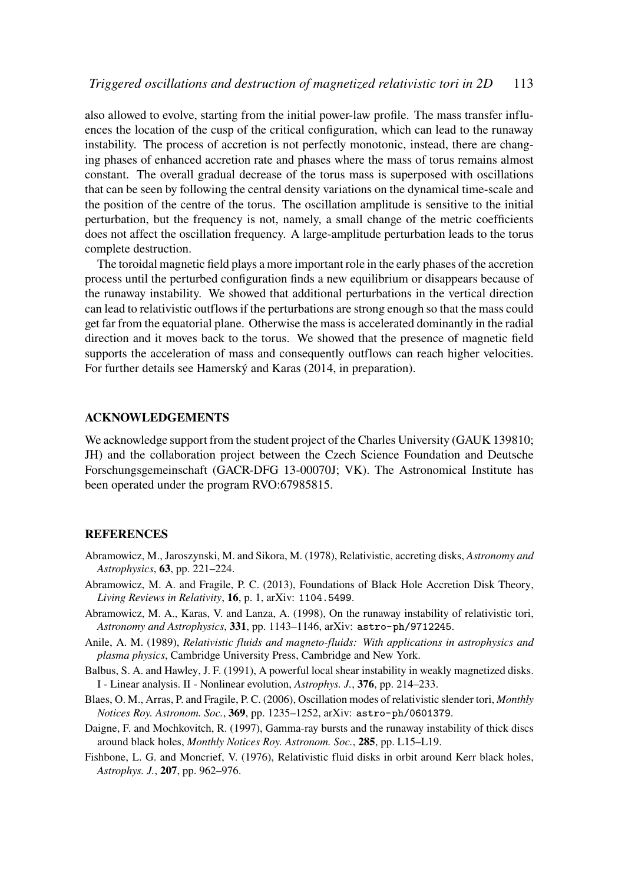also allowed to evolve, starting from the initial power-law profile. The mass transfer influences the location of the cusp of the critical configuration, which can lead to the runaway instability. The process of accretion is not perfectly monotonic, instead, there are changing phases of enhanced accretion rate and phases where the mass of torus remains almost constant. The overall gradual decrease of the torus mass is superposed with oscillations that can be seen by following the central density variations on the dynamical time-scale and the position of the centre of the torus. The oscillation amplitude is sensitive to the initial perturbation, but the frequency is not, namely, a small change of the metric coefficients does not affect the oscillation frequency. A large-amplitude perturbation leads to the torus complete destruction.

The toroidal magnetic field plays a more important role in the early phases of the accretion process until the perturbed configuration finds a new equilibrium or disappears because of the runaway instability. We showed that additional perturbations in the vertical direction can lead to relativistic outflows if the perturbations are strong enough so that the mass could get far from the equatorial plane. Otherwise the mass is accelerated dominantly in the radial direction and it moves back to the torus. We showed that the presence of magnetic field supports the acceleration of mass and consequently outflows can reach higher velocities. For further details see Hamerský and Karas (2014, in preparation).

#### ACKNOWLEDGEMENTS

We acknowledge support from the student project of the Charles University (GAUK 139810; JH) and the collaboration project between the Czech Science Foundation and Deutsche Forschungsgemeinschaft (GACR-DFG 13-00070J; VK). The Astronomical Institute has been operated under the program RVO:67985815.

#### **REFERENCES**

- Abramowicz, M., Jaroszynski, M. and Sikora, M. (1978), Relativistic, accreting disks, *Astronomy and Astrophysics*, 63, pp. 221–224.
- Abramowicz, M. A. and Fragile, P. C. (2013), Foundations of Black Hole Accretion Disk Theory, *Living Reviews in Relativity*, 16, p. 1, arXiv: 1104.5499.
- Abramowicz, M. A., Karas, V. and Lanza, A. (1998), On the runaway instability of relativistic tori, *Astronomy and Astrophysics*, 331, pp. 1143–1146, arXiv: astro-ph/9712245.
- Anile, A. M. (1989), *Relativistic fluids and magneto-fluids: With applications in astrophysics and plasma physics*, Cambridge University Press, Cambridge and New York.
- Balbus, S. A. and Hawley, J. F. (1991), A powerful local shear instability in weakly magnetized disks. I - Linear analysis. II - Nonlinear evolution, *Astrophys. J.*, 376, pp. 214–233.
- Blaes, O. M., Arras, P. and Fragile, P. C. (2006), Oscillation modes of relativistic slender tori, *Monthly Notices Roy. Astronom. Soc.*, 369, pp. 1235–1252, arXiv: astro-ph/0601379.
- Daigne, F. and Mochkovitch, R. (1997), Gamma-ray bursts and the runaway instability of thick discs around black holes, *Monthly Notices Roy. Astronom. Soc.*, 285, pp. L15–L19.
- Fishbone, L. G. and Moncrief, V. (1976), Relativistic fluid disks in orbit around Kerr black holes, *Astrophys. J.*, 207, pp. 962–976.